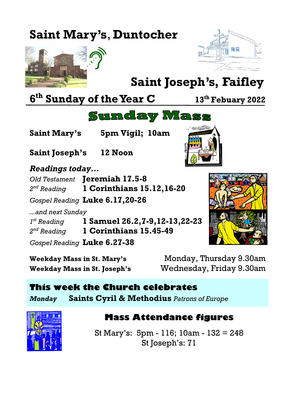## **Saint Mary's**, **Duntocher**





# **Saint Joseph's, Faifley**

**6 th Sunday of the Year C <sup>13</sup>th Febuary 2022**

## **Sunday Mass**

**Saint Mary's 5pm Vigil; 10am**

**Saint Joseph's 12 Noon**

#### *Readings today...*

*Old Testament* **Jeremiah 17.5-8** 2<sup>nd</sup> Reading *nd Reading* **1 Corinthians 15.12,16-20**

*Gospel Reading* **Luke 6.17,20-26**

*...and next Sunday 1*

*st Reading* **1 Samuel 26.2,7-9,12-13,22-23** 2<sup>nd</sup> Reading *nd Reading* **1 Corinthians 15.45-49**

*Gospel Reading* **Luke 6.27-38**

**Weekday Mass in St. Mary's** Monday, Thursday 9.30am **Weekday Mass in St. Joseph's** Wednesday, Friday 9.30am

# **This week the Church celebrates**

*Monday* **Saints Cyril & Methodius** *Patrons of Europe*



## **Mass Attendance figures**

St Mary's: 5pm - 116; 10am - 132 = 248 St Joseph's: 71



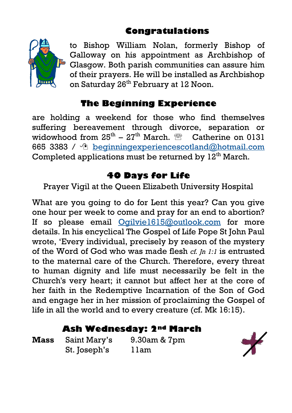#### **Congratulations**



to Bishop William Nolan, formerly Bishop of Galloway on his appointment as Archbishop of Glasgow. Both parish communities can assure him of their prayers. He will be installed as Archbishop on Saturday 26<sup>th</sup> February at 12 Noon.

## **The Beginning Experience**

are holding a weekend for those who find themselves suffering bereavement through divorce, separation or widowhood from  $25^{\text{th}} - 27^{\text{th}}$  March.  $\textcircled{\tiny{\mathfrak{m}}}$  Catherine on 0131 665 3383 /  $\sqrt{2}$  beginning experiences cotland@hotmail.com Completed applications must be returned by  $12<sup>th</sup>$  March.

#### **40 Days for Life**

Prayer Vigil at the Queen Elizabeth University Hospital

What are you going to do for Lent this year? Can you give one hour per week to come and pray for an end to abortion? If so please email [Ogilvie1615@outlook.com](mailto:Ogilvie1615@outlook.com) for more details. In his encyclical The Gospel of Life Pope St John Paul wrote, 'Every individual, precisely by reason of the mystery of the Word of God who was made flesh *cf. Jn 1:1* is entrusted to the maternal care of the Church. Therefore, every threat to human dignity and life must necessarily be felt in the Church's very heart; it cannot but affect her at the core of her faith in the Redemptive Incarnation of the Son of God and engage her in her mission of proclaiming the Gospel of life in all the world and to every creature (cf. Mk 16:15).

#### **Ash Wednesday: 2nd March**

**Mass** Saint Mary's 9.30am & 7pm St. Joseph's 11am

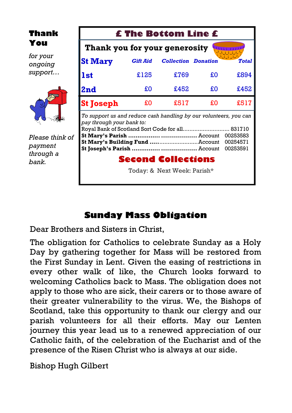**Thank You**

*for your ongoing support…*



*Please think of payment through a bank.*

| <b>£ The Bottom Line £</b>                                                                                                                                                       |                 |                            |    |              |
|----------------------------------------------------------------------------------------------------------------------------------------------------------------------------------|-----------------|----------------------------|----|--------------|
| Thank you for your generosity                                                                                                                                                    |                 |                            |    |              |
| <b>St Mary</b>                                                                                                                                                                   | <b>Gift Aid</b> | <b>Collection Donation</b> |    | <b>Total</b> |
| <b>1st</b>                                                                                                                                                                       | £125            | £769                       | £O | £894         |
| 2nd                                                                                                                                                                              | £O              | £452                       | £O | £452         |
| <b>St Joseph</b>                                                                                                                                                                 | £Ο              | £517                       | £Ο | £517         |
| To support us and reduce cash handling by our volunteers, you can<br>pay through your bank to:<br>831710<br>00253583<br>St Mary's Building Fund  Account<br>00254571<br>00253591 |                 |                            |    |              |
| <b>Second Collections</b>                                                                                                                                                        |                 |                            |    |              |
| Today: & Next Week: Parish*                                                                                                                                                      |                 |                            |    |              |

#### **Sunday Mass Obligation**

Dear Brothers and Sisters in Christ,

The obligation for Catholics to celebrate Sunday as a Holy Day by gathering together for Mass will be restored from the First Sunday in Lent. Given the easing of restrictions in every other walk of like, the Church looks forward to welcoming Catholics back to Mass. The obligation does not apply to those who are sick, their carers or to those aware of their greater vulnerability to the virus. We, the Bishops of Scotland, take this opportunity to thank our clergy and our parish volunteers for all their efforts. May our Lenten journey this year lead us to a renewed appreciation of our Catholic faith, of the celebration of the Eucharist and of the presence of the Risen Christ who is always at our side.

Bishop Hugh Gilbert